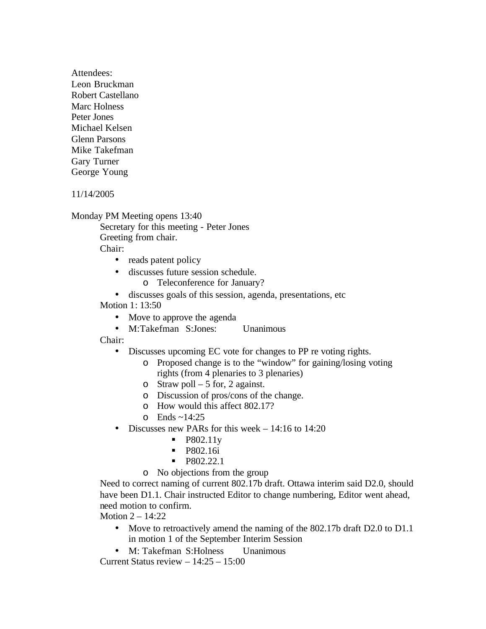Attendees: Leon Bruckman Robert Castellano Marc Holness Peter Jones Michael Kelsen Glenn Parsons Mike Takefman Gary Turner George Young

11/14/2005

Monday PM Meeting opens 13:40

Secretary for this meeting - Peter Jones Greeting from chair.

Chair:

- reads patent policy
- discusses future session schedule.
	- o Teleconference for January?
- discusses goals of this session, agenda, presentations, etc

Motion 1: 13:50

- Move to approve the agenda
- M:Takefman S:Jones: Unanimous

Chair:

- Discusses upcoming EC vote for changes to PP re voting rights.
	- o Proposed change is to the "window" for gaining/losing voting rights (from 4 plenaries to 3 plenaries)
	- o Straw poll 5 for, 2 against.
	- o Discussion of pros/cons of the change.
	- o How would this affect 802.17?
	- $\circ$  Ends ~14:25
- Discusses new PARs for this week 14:16 to 14:20
	- ß P802.11y
	- **P802.16i**
	- $\blacksquare$  P802.22.1
	- o No objections from the group

Need to correct naming of current 802.17b draft. Ottawa interim said D2.0, should have been D1.1. Chair instructed Editor to change numbering, Editor went ahead, need motion to confirm.

Motion 2 – 14:22

- Move to retroactively amend the naming of the 802.17b draft D2.0 to D1.1 in motion 1 of the September Interim Session
- M: Takefman S: Holness Unanimous

Current Status review – 14:25 – 15:00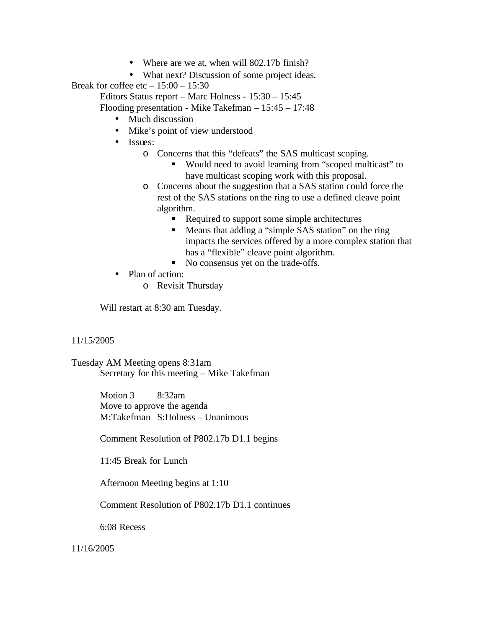- Where are we at, when will 802.17b finish?
- What next? Discussion of some project ideas.

Break for coffee etc  $-15:00 - 15:30$ 

Editors Status report – Marc Holness - 15:30 – 15:45

Flooding presentation - Mike Takefman – 15:45 – 17:48

- Much discussion
- Mike's point of view understood
- Issues:
	- o Concerns that this "defeats" the SAS multicast scoping.
		- Would need to avoid learning from "scoped multicast" to have multicast scoping work with this proposal.
	- o Concerns about the suggestion that a SAS station could force the rest of the SAS stations on the ring to use a defined cleave point algorithm.
		- Required to support some simple architectures
		- Means that adding a "simple SAS station" on the ring impacts the services offered by a more complex station that has a "flexible" cleave point algorithm.
		- No consensus yet on the trade-offs.
- Plan of action:
	- o Revisit Thursday

Will restart at 8:30 am Tuesday.

## 11/15/2005

Tuesday AM Meeting opens 8:31am Secretary for this meeting – Mike Takefman

> Motion 3 8:32am Move to approve the agenda M:Takefman S:Holness – Unanimous

Comment Resolution of P802.17b D1.1 begins

11:45 Break for Lunch

Afternoon Meeting begins at 1:10

Comment Resolution of P802.17b D1.1 continues

6:08 Recess

11/16/2005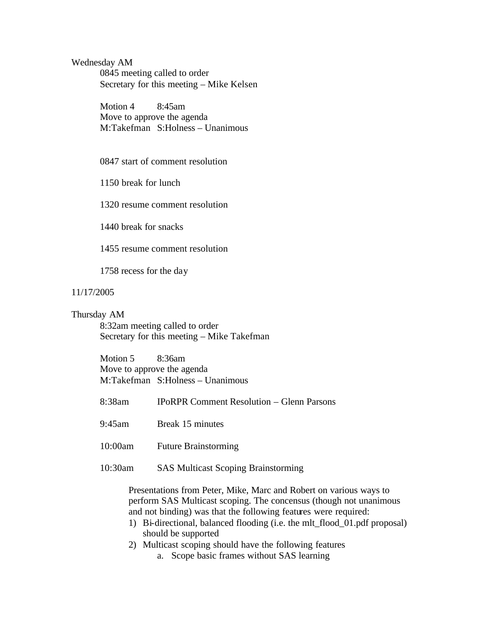Wednesday AM 0845 meeting called to order Secretary for this meeting – Mike Kelsen

> Motion 4 8:45am Move to approve the agenda M:Takefman S:Holness – Unanimous

0847 start of comment resolution

1150 break for lunch

1320 resume comment resolution

1440 break for snacks

1455 resume comment resolution

1758 recess for the day

## 11/17/2005

## Thursday AM

8:32am meeting called to order Secretary for this meeting – Mike Takefman

Motion 5 8:36am Move to approve the agenda M:Takefman S:Holness – Unanimous

- 8:38am IPoRPR Comment Resolution Glenn Parsons
- 9:45am Break 15 minutes
- 10:00am Future Brainstorming
- 10:30am SAS Multicast Scoping Brainstorming

Presentations from Peter, Mike, Marc and Robert on various ways to perform SAS Multicast scoping. The concensus (though not unanimous and not binding) was that the following features were required:

- 1) Bi-directional, balanced flooding (i.e. the mlt\_flood\_01.pdf proposal) should be supported
- 2) Multicast scoping should have the following features
	- a. Scope basic frames without SAS learning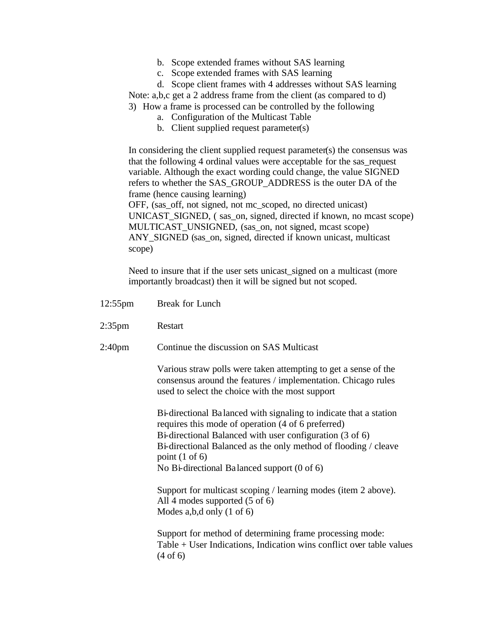- b. Scope extended frames without SAS learning
- c. Scope extended frames with SAS learning
- d. Scope client frames with 4 addresses without SAS learning

Note: a,b,c get a 2 address frame from the client (as compared to d)

- 3) How a frame is processed can be controlled by the following
	- a. Configuration of the Multicast Table
	- b. Client supplied request parameter(s)

In considering the client supplied request parameter(s) the consensus was that the following 4 ordinal values were acceptable for the sas\_request variable. Although the exact wording could change, the value SIGNED refers to whether the SAS\_GROUP\_ADDRESS is the outer DA of the frame (hence causing learning) OFF, (sas\_off, not signed, not mc\_scoped, no directed unicast)

UNICAST\_SIGNED, ( sas\_on, signed, directed if known, no mcast scope) MULTICAST\_UNSIGNED, (sas\_on, not signed, mcast scope) ANY\_SIGNED (sas\_on, signed, directed if known unicast, multicast scope)

Need to insure that if the user sets unicast\_signed on a multicast (more importantly broadcast) then it will be signed but not scoped.

| $12:55$ pm         | Break for Lunch                                                                                                                                                                                                                                                                                                                               |
|--------------------|-----------------------------------------------------------------------------------------------------------------------------------------------------------------------------------------------------------------------------------------------------------------------------------------------------------------------------------------------|
| $2:35$ pm          | Restart                                                                                                                                                                                                                                                                                                                                       |
| 2:40 <sub>pm</sub> | Continue the discussion on SAS Multicast                                                                                                                                                                                                                                                                                                      |
|                    | Various straw polls were taken attempting to get a sense of the<br>consensus around the features / implementation. Chicago rules<br>used to select the choice with the most support                                                                                                                                                           |
|                    | Bi-directional Balanced with signaling to indicate that a station<br>requires this mode of operation (4 of 6 preferred)<br>Bi-directional Balanced with user configuration (3 of 6)<br>Bi-directional Balanced as the only method of flooding / cleave<br>point $(1 \text{ of } 6)$<br>No Bi-directional Balanced support $(0 \text{ of } 6)$ |
|                    | Support for multicast scoping / learning modes (item 2 above).<br>All 4 modes supported $(5 \text{ of } 6)$<br>Modes a,b,d only $(1 \text{ of } 6)$                                                                                                                                                                                           |
|                    | Support for method of determining frame processing mode:<br>$Table + User Indications, Indication wins conflict over table values$<br>(4 of 6)                                                                                                                                                                                                |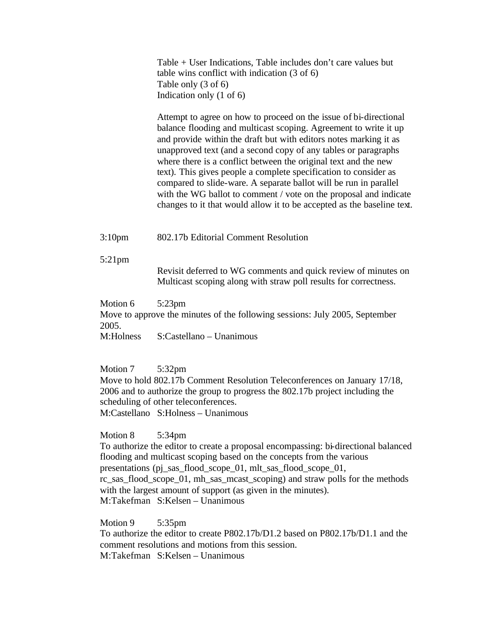Table + User Indications, Table includes don't care values but table wins conflict with indication (3 of 6) Table only (3 of 6) Indication only (1 of 6)

Attempt to agree on how to proceed on the issue of bi-directional balance flooding and multicast scoping. Agreement to write it up and provide within the draft but with editors notes marking it as unapproved text (and a second copy of any tables or paragraphs where there is a conflict between the original text and the new text). This gives people a complete specification to consider as compared to slide-ware. A separate ballot will be run in parallel with the WG ballot to comment / vote on the proposal and indicate changes to it that would allow it to be accepted as the baseline text.

3:10pm 802.17b Editorial Comment Resolution

5:21pm

Revisit deferred to WG comments and quick review of minutes on Multicast scoping along with straw poll results for correctness.

Motion 6 5:23pm

Move to approve the minutes of the following sessions: July 2005, September 2005.

M:Holness S:Castellano – Unanimous

Motion 7 5:32pm Move to hold 802.17b Comment Resolution Teleconferences on January 17/18, 2006 and to authorize the group to progress the 802.17b project including the scheduling of other teleconferences. M:Castellano S:Holness – Unanimous

Motion 8 5:34pm

To authorize the editor to create a proposal encompassing: bi-directional balanced flooding and multicast scoping based on the concepts from the various presentations (pj\_sas\_flood\_scope\_01, mlt\_sas\_flood\_scope\_01, rc\_sas\_flood\_scope\_01, mh\_sas\_mcast\_scoping) and straw polls for the methods with the largest amount of support (as given in the minutes). M:Takefman S:Kelsen – Unanimous

Motion 9 5:35pm To authorize the editor to create P802.17b/D1.2 based on P802.17b/D1.1 and the comment resolutions and motions from this session. M:Takefman S:Kelsen – Unanimous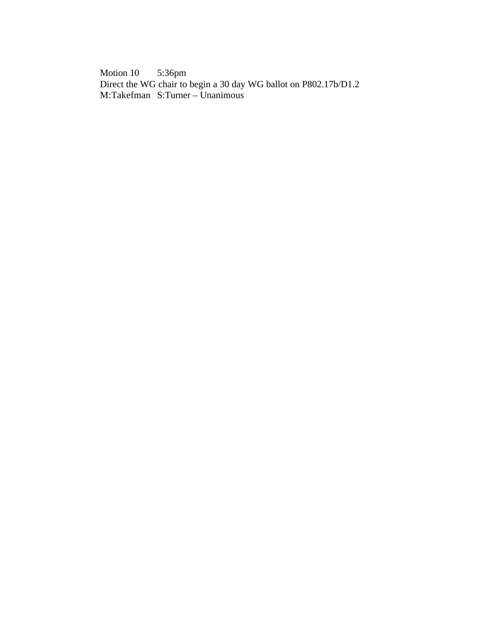Motion 10 5:36pm Direct the WG chair to begin a 30 day WG ballot on P802.17b/D1.2 M:Takefman S:Turner – Unanimous